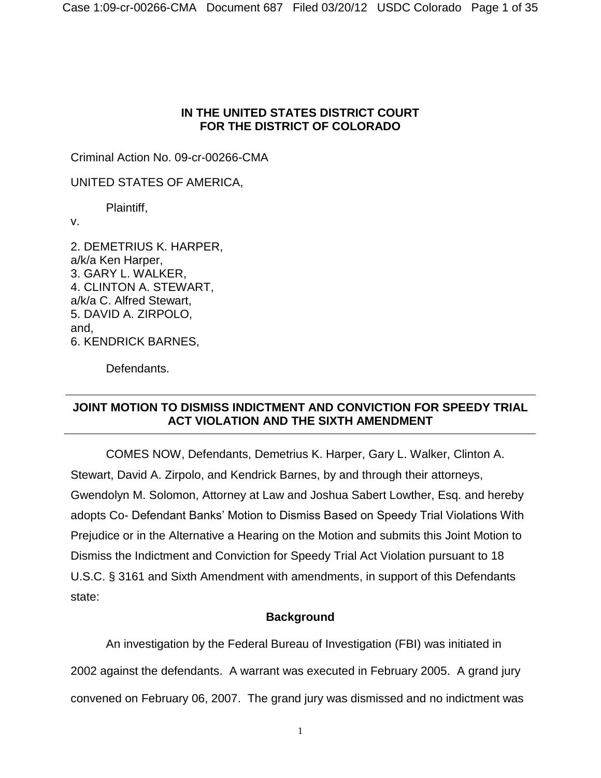# **IN THE UNITED STATES DISTRICT COURT FOR THE DISTRICT OF COLORADO**

Criminal Action No. 09-cr-00266-CMA

UNITED STATES OF AMERICA,

Plaintiff,

v.

2. DEMETRIUS K. HARPER, a/k/a Ken Harper, 3. GARY L. WALKER, 4. CLINTON A. STEWART, a/k/a C. Alfred Stewart, 5. DAVID A. ZIRPOLO, and, 6. KENDRICK BARNES,

Defendants.

# **JOINT MOTION TO DISMISS INDICTMENT AND CONVICTION FOR SPEEDY TRIAL ACT VIOLATION AND THE SIXTH AMENDMENT**

COMES NOW, Defendants, Demetrius K. Harper, Gary L. Walker, Clinton A. Stewart, David A. Zirpolo, and Kendrick Barnes, by and through their attorneys, Gwendolyn M. Solomon, Attorney at Law and Joshua Sabert Lowther, Esq. and hereby adopts Co- Defendant Banks' Motion to Dismiss Based on Speedy Trial Violations With Prejudice or in the Alternative a Hearing on the Motion and submits this Joint Motion to Dismiss the Indictment and Conviction for Speedy Trial Act Violation pursuant to 18 U.S.C. § 3161 and Sixth Amendment with amendments, in support of this Defendants state:

# **Background**

An investigation by the Federal Bureau of Investigation (FBI) was initiated in 2002 against the defendants. A warrant was executed in February 2005. A grand jury convened on February 06, 2007. The grand jury was dismissed and no indictment was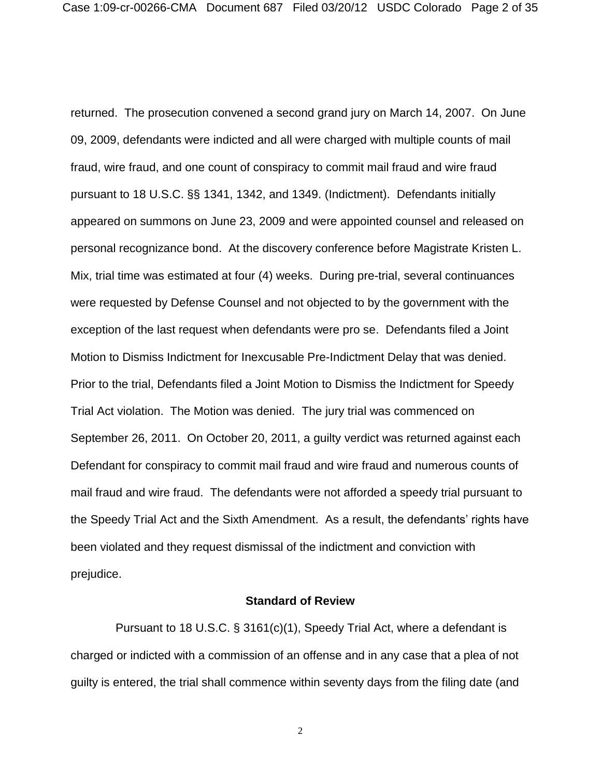returned. The prosecution convened a second grand jury on March 14, 2007. On June 09, 2009, defendants were indicted and all were charged with multiple counts of mail fraud, wire fraud, and one count of conspiracy to commit mail fraud and wire fraud pursuant to 18 U.S.C. §§ 1341, 1342, and 1349. (Indictment). Defendants initially appeared on summons on June 23, 2009 and were appointed counsel and released on personal recognizance bond. At the discovery conference before Magistrate Kristen L. Mix, trial time was estimated at four (4) weeks. During pre-trial, several continuances were requested by Defense Counsel and not objected to by the government with the exception of the last request when defendants were pro se. Defendants filed a Joint Motion to Dismiss Indictment for Inexcusable Pre-Indictment Delay that was denied. Prior to the trial, Defendants filed a Joint Motion to Dismiss the Indictment for Speedy Trial Act violation. The Motion was denied. The jury trial was commenced on September 26, 2011. On October 20, 2011, a guilty verdict was returned against each Defendant for conspiracy to commit mail fraud and wire fraud and numerous counts of mail fraud and wire fraud. The defendants were not afforded a speedy trial pursuant to the Speedy Trial Act and the Sixth Amendment. As a result, the defendants' rights have been violated and they request dismissal of the indictment and conviction with prejudice.

#### **Standard of Review**

Pursuant to 18 U.S.C. § 3161(c)(1), Speedy Trial Act, where a defendant is charged or indicted with a commission of an offense and in any case that a plea of not guilty is entered, the trial shall commence within seventy days from the filing date (and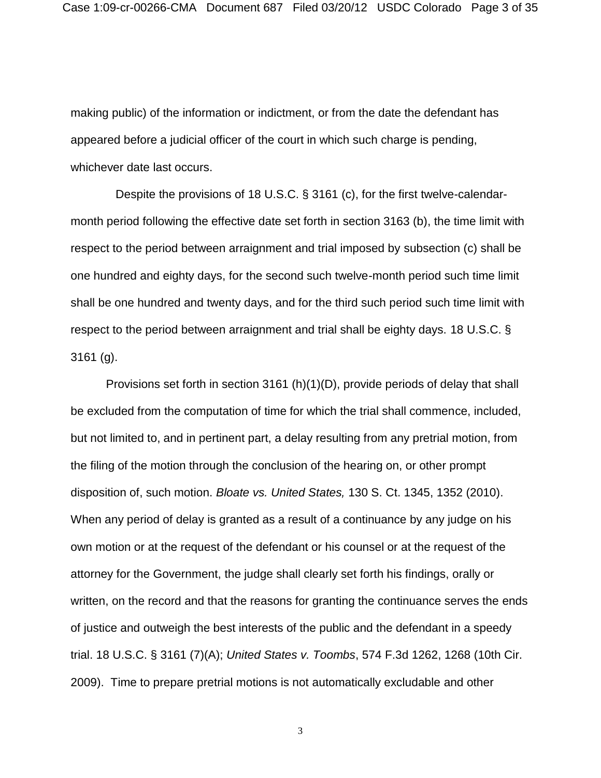Case 1:09-cr-00266-CMA Document 687 Filed 03/20/12 USDC Colorado Page 3 of 35

making public) of the information or indictment, or from the date the defendant has appeared before a judicial officer of the court in which such charge is pending, whichever date last occurs.

Despite the provisions of 18 U.S.C. § 3161 (c), for the first twelve-calendarmonth period following the effective date set forth in section 3163 (b), the time limit with respect to the period between arraignment and trial imposed by subsection (c) shall be one hundred and eighty days, for the second such twelve-month period such time limit shall be one hundred and twenty days, and for the third such period such time limit with respect to the period between arraignment and trial shall be eighty days. 18 U.S.C. § 3161 (g).

Provisions set forth in section 3161 (h)(1)(D), provide periods of delay that shall be excluded from the computation of time for which the trial shall commence, included, but not limited to, and in pertinent part, a delay resulting from any pretrial motion, from the filing of the motion through the conclusion of the hearing on, or other prompt disposition of, such motion. *Bloate vs. United States,* 130 S. Ct. 1345, 1352 (2010). When any period of delay is granted as a result of a continuance by any judge on his own motion or at the request of the defendant or his counsel or at the request of the attorney for the Government, the judge shall clearly set forth his findings, orally or written, on the record and that the reasons for granting the continuance serves the ends of justice and outweigh the best interests of the public and the defendant in a speedy trial. 18 U.S.C. § 3161 (7)(A); *United States v. Toombs*, 574 F.3d 1262, 1268 (10th Cir. 2009). Time to prepare pretrial motions is not automatically excludable and other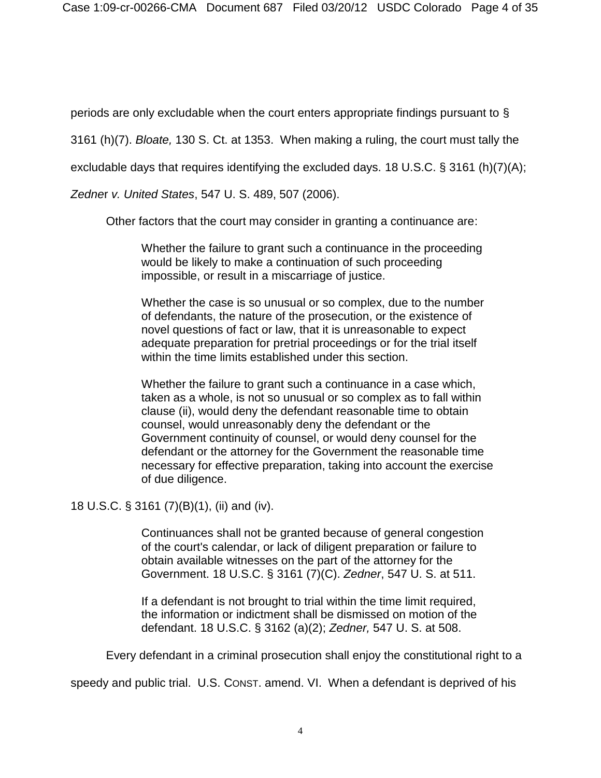periods are only excludable when the court enters appropriate findings pursuant to §

3161 (h)(7). *Bloate,* 130 S. Ct. at 1353. When making a ruling, the court must tally the

excludable days that requires identifying the excluded days. 18 U.S.C. § 3161 (h)(7)(A);

*Zedne*r *v. United States*, 547 U. S. 489, 507 (2006).

Other factors that the court may consider in granting a continuance are:

Whether the failure to grant such a continuance in the proceeding would be likely to make a continuation of such proceeding impossible, or result in a miscarriage of justice.

Whether the case is so unusual or so complex, due to the number of defendants, the nature of the prosecution, or the existence of novel questions of fact or law, that it is unreasonable to expect adequate preparation for pretrial proceedings or for the trial itself within the time limits established under this section.

Whether the failure to grant such a continuance in a case which, taken as a whole, is not so unusual or so complex as to fall within clause (ii), would deny the defendant reasonable time to obtain counsel, would unreasonably deny the defendant or the Government continuity of counsel, or would deny counsel for the defendant or the attorney for the Government the reasonable time necessary for effective preparation, taking into account the exercise of due diligence.

18 U.S.C. § 3161 (7)(B)(1), (ii) and (iv).

Continuances shall not be granted because of general congestion of the court's calendar, or lack of diligent preparation or failure to obtain available witnesses on the part of the attorney for the Government. 18 U.S.C. § 3161 (7)(C). *Zedner*, 547 U. S. at 511.

If a defendant is not brought to trial within the time limit required, the information or indictment shall be dismissed on motion of the defendant. 18 U.S.C. § 3162 (a)(2); *Zedner,* 547 U. S. at 508.

Every defendant in a criminal prosecution shall enjoy the constitutional right to a

speedy and public trial. U.S. CONST. amend. VI. When a defendant is deprived of his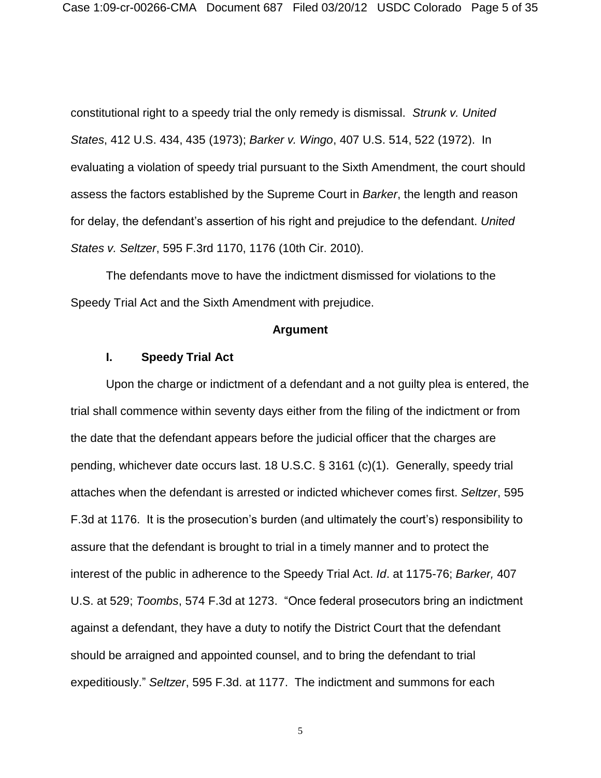constitutional right to a speedy trial the only remedy is dismissal. *Strunk v. United States*, 412 U.S. 434, 435 (1973); *Barker v. Wingo*, 407 U.S. 514, 522 (1972). In evaluating a violation of speedy trial pursuant to the Sixth Amendment, the court should assess the factors established by the Supreme Court in *Barker*, the length and reason for delay, the defendant's assertion of his right and prejudice to the defendant. *United States v. Seltzer*, 595 F.3rd 1170, 1176 (10th Cir. 2010).

The defendants move to have the indictment dismissed for violations to the Speedy Trial Act and the Sixth Amendment with prejudice.

#### **Argument**

# **I. Speedy Trial Act**

Upon the charge or indictment of a defendant and a not guilty plea is entered, the trial shall commence within seventy days either from the filing of the indictment or from the date that the defendant appears before the judicial officer that the charges are pending, whichever date occurs last. 18 U.S.C. § 3161 (c)(1). Generally, speedy trial attaches when the defendant is arrested or indicted whichever comes first. *Seltzer*, 595 F.3d at 1176. It is the prosecution's burden (and ultimately the court's) responsibility to assure that the defendant is brought to trial in a timely manner and to protect the interest of the public in adherence to the Speedy Trial Act. *Id*. at 1175-76; *Barker,* 407 U.S. at 529; *Toombs*, 574 F.3d at 1273. "Once federal prosecutors bring an indictment against a defendant, they have a duty to notify the District Court that the defendant should be arraigned and appointed counsel, and to bring the defendant to trial expeditiously." *Seltzer*, 595 F.3d. at 1177. The indictment and summons for each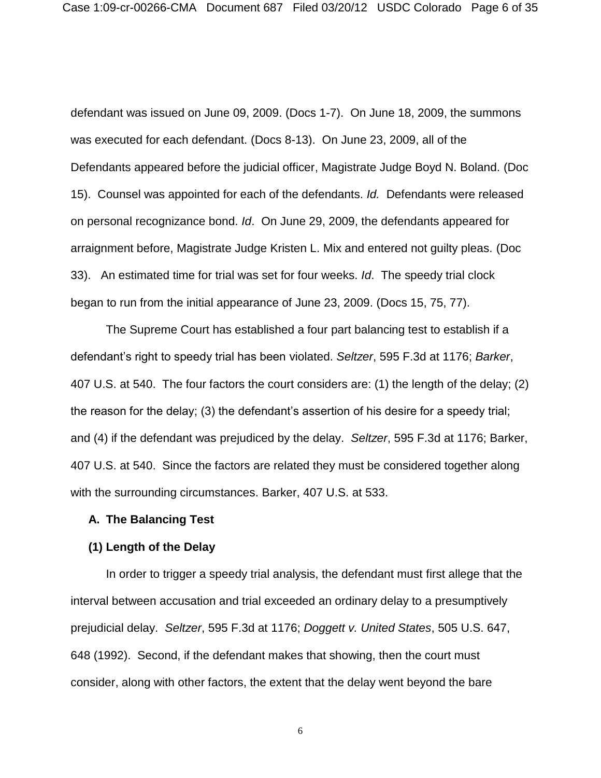defendant was issued on June 09, 2009. (Docs 1-7). On June 18, 2009, the summons was executed for each defendant. (Docs 8-13). On June 23, 2009, all of the Defendants appeared before the judicial officer, Magistrate Judge Boyd N. Boland. (Doc 15). Counsel was appointed for each of the defendants. *Id.* Defendants were released on personal recognizance bond. *Id*. On June 29, 2009, the defendants appeared for arraignment before, Magistrate Judge Kristen L. Mix and entered not guilty pleas. (Doc 33). An estimated time for trial was set for four weeks. *Id*. The speedy trial clock began to run from the initial appearance of June 23, 2009. (Docs 15, 75, 77).

The Supreme Court has established a four part balancing test to establish if a defendant's right to speedy trial has been violated. *Seltzer*, 595 F.3d at 1176; *Barker*, 407 U.S. at 540. The four factors the court considers are: (1) the length of the delay; (2) the reason for the delay; (3) the defendant's assertion of his desire for a speedy trial; and (4) if the defendant was prejudiced by the delay. *Seltzer*, 595 F.3d at 1176; Barker, 407 U.S. at 540. Since the factors are related they must be considered together along with the surrounding circumstances. Barker, 407 U.S. at 533.

#### **A. The Balancing Test**

#### **(1) Length of the Delay**

In order to trigger a speedy trial analysis, the defendant must first allege that the interval between accusation and trial exceeded an ordinary delay to a presumptively prejudicial delay. *Seltzer*, 595 F.3d at 1176; *Doggett v. United States*, 505 U.S. 647, 648 (1992). Second, if the defendant makes that showing, then the court must consider, along with other factors, the extent that the delay went beyond the bare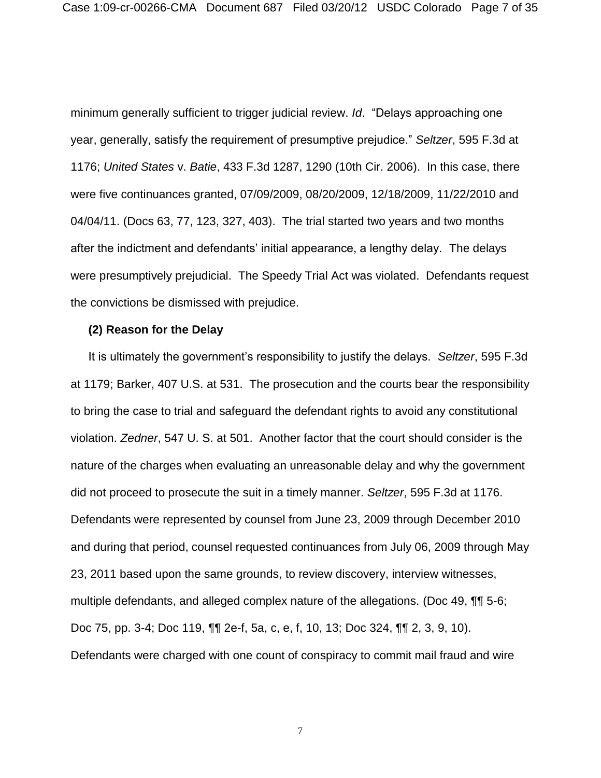Case 1:09-cr-00266-CMA Document 687 Filed 03/20/12 USDC Colorado Page 7 of 35

minimum generally sufficient to trigger judicial review. *Id*. "Delays approaching one year, generally, satisfy the requirement of presumptive prejudice." *Seltzer*, 595 F.3d at 1176; *United States* v. *Batie*, 433 F.3d 1287, 1290 (10th Cir. 2006). In this case, there were five continuances granted, 07/09/2009, 08/20/2009, 12/18/2009, 11/22/2010 and 04/04/11. (Docs 63, 77, 123, 327, 403). The trial started two years and two months after the indictment and defendants' initial appearance, a lengthy delay. The delays were presumptively prejudicial. The Speedy Trial Act was violated. Defendants request the convictions be dismissed with prejudice.

#### **(2) Reason for the Delay**

It is ultimately the government's responsibility to justify the delays. *Seltzer*, 595 F.3d at 1179; Barker, 407 U.S. at 531. The prosecution and the courts bear the responsibility to bring the case to trial and safeguard the defendant rights to avoid any constitutional violation. *Zedner*, 547 U. S. at 501. Another factor that the court should consider is the nature of the charges when evaluating an unreasonable delay and why the government did not proceed to prosecute the suit in a timely manner. *Seltzer*, 595 F.3d at 1176. Defendants were represented by counsel from June 23, 2009 through December 2010 and during that period, counsel requested continuances from July 06, 2009 through May 23, 2011 based upon the same grounds, to review discovery, interview witnesses, multiple defendants, and alleged complex nature of the allegations. (Doc 49, ¶¶ 5-6; Doc 75, pp. 3-4; Doc 119, ¶¶ 2e-f, 5a, c, e, f, 10, 13; Doc 324, ¶¶ 2, 3, 9, 10). Defendants were charged with one count of conspiracy to commit mail fraud and wire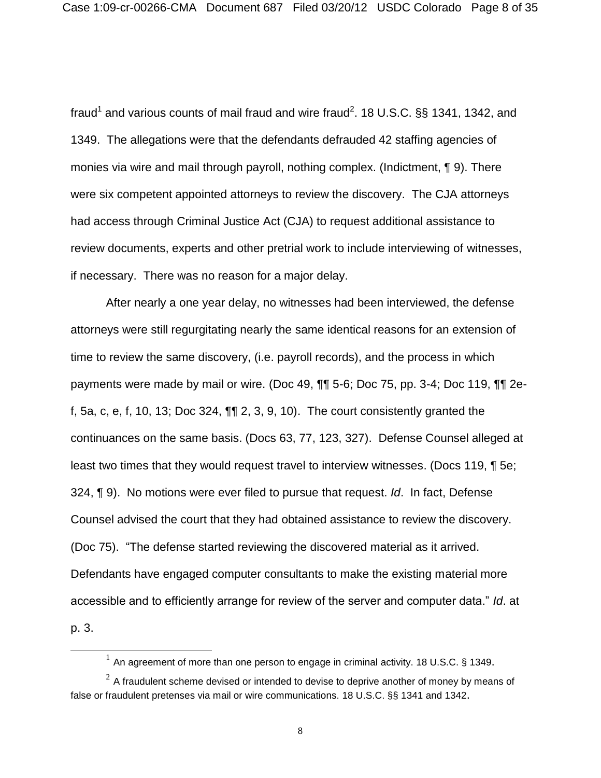fraud<sup>1</sup> and various counts of mail fraud and wire fraud<sup>2</sup>. 18 U.S.C. §§ 1341, 1342, and 1349. The allegations were that the defendants defrauded 42 staffing agencies of monies via wire and mail through payroll, nothing complex. (Indictment, ¶ 9). There were six competent appointed attorneys to review the discovery. The CJA attorneys had access through Criminal Justice Act (CJA) to request additional assistance to review documents, experts and other pretrial work to include interviewing of witnesses, if necessary. There was no reason for a major delay.

After nearly a one year delay, no witnesses had been interviewed, the defense attorneys were still regurgitating nearly the same identical reasons for an extension of time to review the same discovery, (i.e. payroll records), and the process in which payments were made by mail or wire. (Doc 49, ¶¶ 5-6; Doc 75, pp. 3-4; Doc 119, ¶¶ 2ef, 5a, c, e, f, 10, 13; Doc 324,  $\P\P$  2, 3, 9, 10). The court consistently granted the continuances on the same basis. (Docs 63, 77, 123, 327). Defense Counsel alleged at least two times that they would request travel to interview witnesses. (Docs 119, ¶ 5e; 324, ¶ 9). No motions were ever filed to pursue that request. *Id*. In fact, Defense Counsel advised the court that they had obtained assistance to review the discovery. (Doc 75). "The defense started reviewing the discovered material as it arrived. Defendants have engaged computer consultants to make the existing material more accessible and to efficiently arrange for review of the server and computer data." *Id*. at p. 3.

 $\overline{\phantom{a}}$ 

 $^1$  An agreement of more than one person to engage in criminal activity. 18 U.S.C. § 1349.

 $^{2}$  A fraudulent scheme devised or intended to devise to deprive another of money by means of false or fraudulent pretenses via mail or wire communications. 18 U.S.C. §§ 1341 and 1342.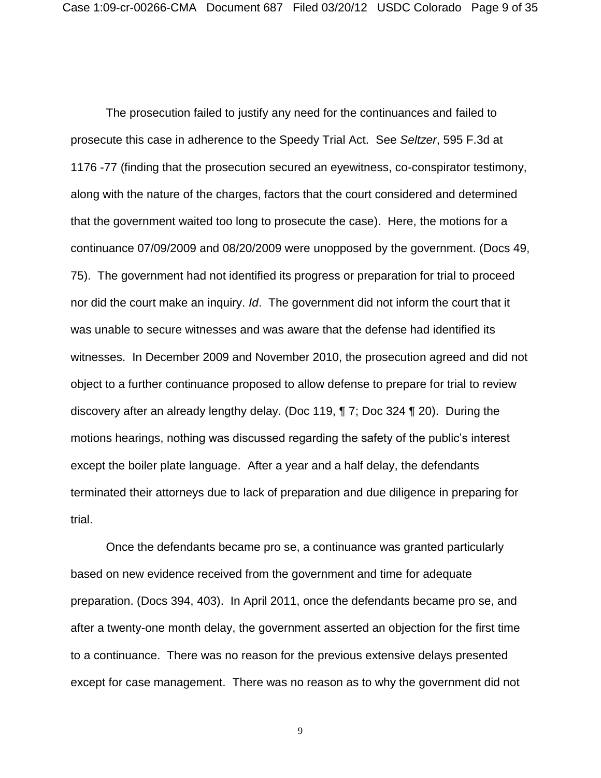The prosecution failed to justify any need for the continuances and failed to prosecute this case in adherence to the Speedy Trial Act. See *Seltzer*, 595 F.3d at 1176 -77 (finding that the prosecution secured an eyewitness, co-conspirator testimony, along with the nature of the charges, factors that the court considered and determined that the government waited too long to prosecute the case). Here, the motions for a continuance 07/09/2009 and 08/20/2009 were unopposed by the government. (Docs 49, 75). The government had not identified its progress or preparation for trial to proceed nor did the court make an inquiry. *Id*. The government did not inform the court that it was unable to secure witnesses and was aware that the defense had identified its witnesses. In December 2009 and November 2010, the prosecution agreed and did not object to a further continuance proposed to allow defense to prepare for trial to review discovery after an already lengthy delay. (Doc 119, ¶ 7; Doc 324 ¶ 20). During the motions hearings, nothing was discussed regarding the safety of the public's interest except the boiler plate language. After a year and a half delay, the defendants terminated their attorneys due to lack of preparation and due diligence in preparing for trial.

Once the defendants became pro se, a continuance was granted particularly based on new evidence received from the government and time for adequate preparation. (Docs 394, 403). In April 2011, once the defendants became pro se, and after a twenty-one month delay, the government asserted an objection for the first time to a continuance. There was no reason for the previous extensive delays presented except for case management. There was no reason as to why the government did not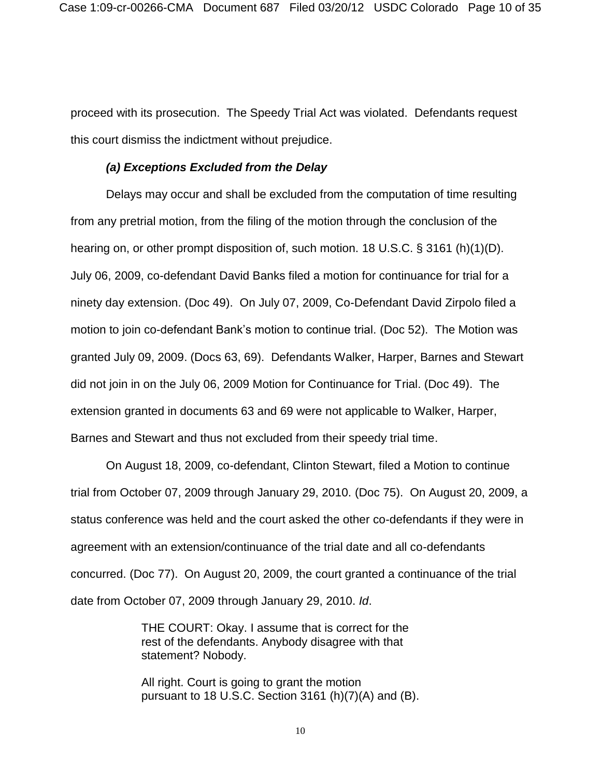proceed with its prosecution. The Speedy Trial Act was violated. Defendants request this court dismiss the indictment without prejudice.

### *(a) Exceptions Excluded from the Delay*

Delays may occur and shall be excluded from the computation of time resulting from any pretrial motion, from the filing of the motion through the conclusion of the hearing on, or other prompt disposition of, such motion. 18 U.S.C. § 3161 (h)(1)(D). July 06, 2009, co-defendant David Banks filed a motion for continuance for trial for a ninety day extension. (Doc 49). On July 07, 2009, Co-Defendant David Zirpolo filed a motion to join co-defendant Bank's motion to continue trial. (Doc 52). The Motion was granted July 09, 2009. (Docs 63, 69). Defendants Walker, Harper, Barnes and Stewart did not join in on the July 06, 2009 Motion for Continuance for Trial. (Doc 49). The extension granted in documents 63 and 69 were not applicable to Walker, Harper, Barnes and Stewart and thus not excluded from their speedy trial time.

On August 18, 2009, co-defendant, Clinton Stewart, filed a Motion to continue trial from October 07, 2009 through January 29, 2010. (Doc 75). On August 20, 2009, a status conference was held and the court asked the other co-defendants if they were in agreement with an extension/continuance of the trial date and all co-defendants concurred. (Doc 77). On August 20, 2009, the court granted a continuance of the trial date from October 07, 2009 through January 29, 2010. *Id*.

> THE COURT: Okay. I assume that is correct for the rest of the defendants. Anybody disagree with that statement? Nobody.

All right. Court is going to grant the motion pursuant to 18 U.S.C. Section 3161 (h) $(7)(A)$  and  $(B)$ .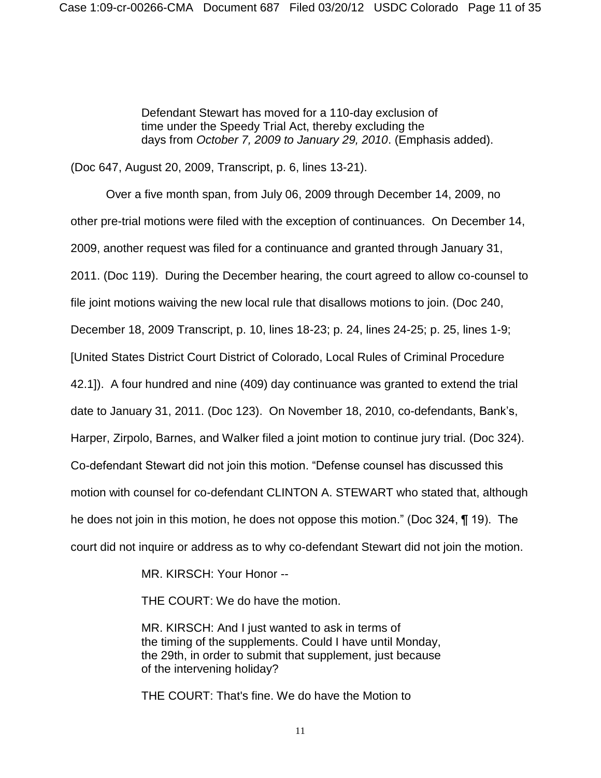Defendant Stewart has moved for a 110-day exclusion of time under the Speedy Trial Act, thereby excluding the days from *October 7, 2009 to January 29, 2010*. (Emphasis added).

(Doc 647, August 20, 2009, Transcript, p. 6, lines 13-21).

Over a five month span, from July 06, 2009 through December 14, 2009, no other pre-trial motions were filed with the exception of continuances. On December 14, 2009, another request was filed for a continuance and granted through January 31, 2011. (Doc 119). During the December hearing, the court agreed to allow co-counsel to file joint motions waiving the new local rule that disallows motions to join. (Doc 240, December 18, 2009 Transcript, p. 10, lines 18-23; p. 24, lines 24-25; p. 25, lines 1-9; [United States District Court District of Colorado, Local Rules of Criminal Procedure 42.1]). A four hundred and nine (409) day continuance was granted to extend the trial date to January 31, 2011. (Doc 123). On November 18, 2010, co-defendants, Bank's, Harper, Zirpolo, Barnes, and Walker filed a joint motion to continue jury trial. (Doc 324). Co-defendant Stewart did not join this motion. "Defense counsel has discussed this motion with counsel for co-defendant CLINTON A. STEWART who stated that, although he does not join in this motion, he does not oppose this motion." (Doc 324, ¶ 19). The court did not inquire or address as to why co-defendant Stewart did not join the motion.

MR. KIRSCH: Your Honor --

THE COURT: We do have the motion.

MR. KIRSCH: And I just wanted to ask in terms of the timing of the supplements. Could I have until Monday, the 29th, in order to submit that supplement, just because of the intervening holiday?

THE COURT: That's fine. We do have the Motion to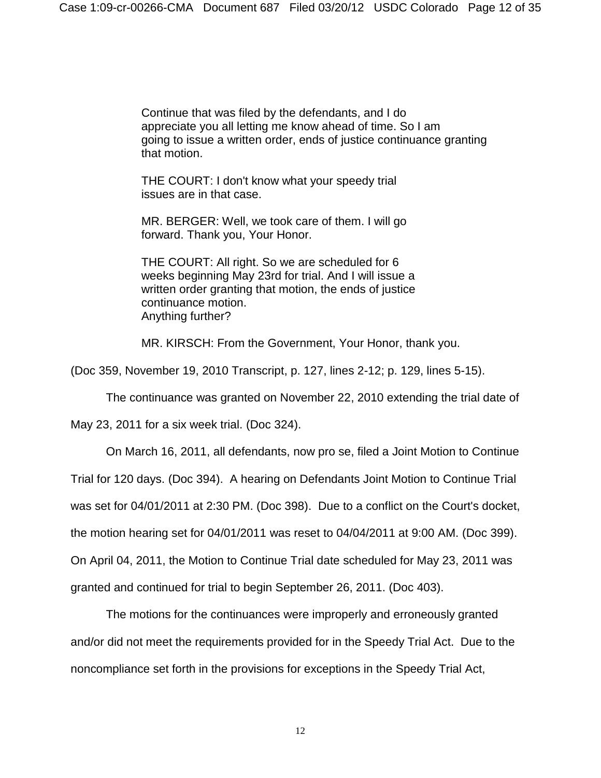Continue that was filed by the defendants, and I do appreciate you all letting me know ahead of time. So I am going to issue a written order, ends of justice continuance granting that motion.

THE COURT: I don't know what your speedy trial issues are in that case.

MR. BERGER: Well, we took care of them. I will go forward. Thank you, Your Honor.

THE COURT: All right. So we are scheduled for 6 weeks beginning May 23rd for trial. And I will issue a written order granting that motion, the ends of justice continuance motion. Anything further?

MR. KIRSCH: From the Government, Your Honor, thank you.

(Doc 359, November 19, 2010 Transcript, p. 127, lines 2-12; p. 129, lines 5-15).

The continuance was granted on November 22, 2010 extending the trial date of

May 23, 2011 for a six week trial. (Doc 324).

On March 16, 2011, all defendants, now pro se, filed a Joint Motion to Continue

Trial for 120 days. (Doc 394). A hearing on Defendants Joint Motion to Continue Trial

was set for 04/01/2011 at 2:30 PM. (Doc 398). Due to a conflict on the Court's docket,

the motion hearing set for 04/01/2011 was reset to 04/04/2011 at 9:00 AM. (Doc 399).

On April 04, 2011, the Motion to Continue Trial date scheduled for May 23, 2011 was

granted and continued for trial to begin September 26, 2011. (Doc 403).

The motions for the continuances were improperly and erroneously granted and/or did not meet the requirements provided for in the Speedy Trial Act. Due to the noncompliance set forth in the provisions for exceptions in the Speedy Trial Act,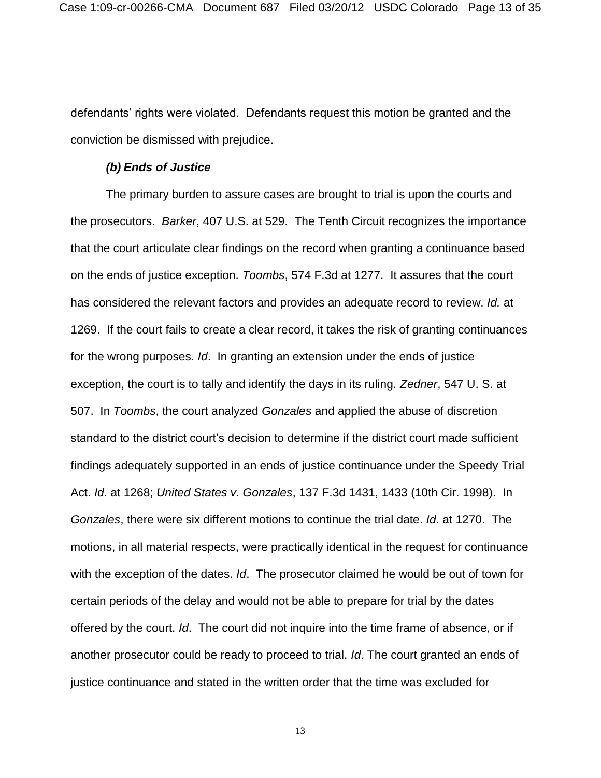defendants' rights were violated. Defendants request this motion be granted and the conviction be dismissed with prejudice.

### *(b) Ends of Justice*

The primary burden to assure cases are brought to trial is upon the courts and the prosecutors. *Barker*, 407 U.S. at 529. The Tenth Circuit recognizes the importance that the court articulate clear findings on the record when granting a continuance based on the ends of justice exception. *Toombs*, 574 F.3d at 1277. It assures that the court has considered the relevant factors and provides an adequate record to review. *Id.* at 1269. If the court fails to create a clear record, it takes the risk of granting continuances for the wrong purposes. *Id*. In granting an extension under the ends of justice exception, the court is to tally and identify the days in its ruling. *Zedner*, 547 U. S. at 507. In *Toombs*, the court analyzed *Gonzales* and applied the abuse of discretion standard to the district court's decision to determine if the district court made sufficient findings adequately supported in an ends of justice continuance under the Speedy Trial Act. *Id*. at 1268; *United States v. Gonzales*, 137 F.3d 1431, 1433 (10th Cir. 1998). In *Gonzales*, there were six different motions to continue the trial date. *Id*. at 1270. The motions, in all material respects, were practically identical in the request for continuance with the exception of the dates. *Id*. The prosecutor claimed he would be out of town for certain periods of the delay and would not be able to prepare for trial by the dates offered by the court. *Id*. The court did not inquire into the time frame of absence, or if another prosecutor could be ready to proceed to trial. *Id*. The court granted an ends of justice continuance and stated in the written order that the time was excluded for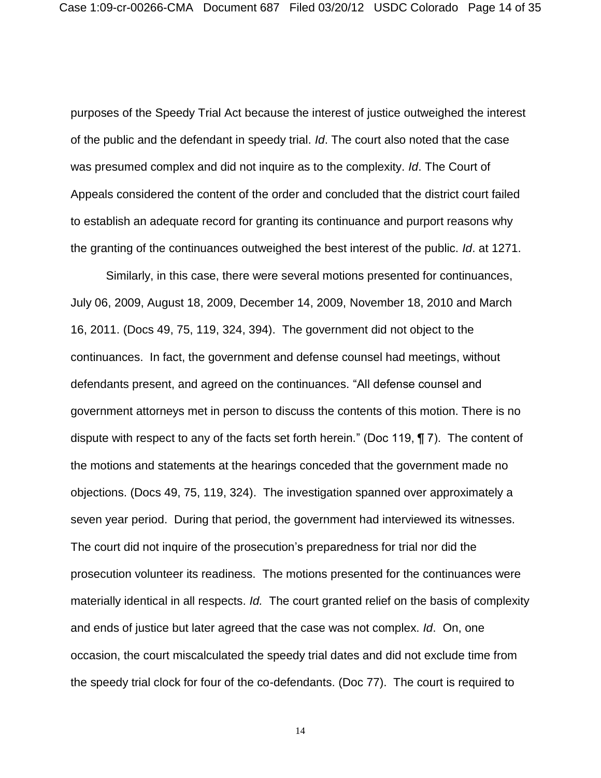purposes of the Speedy Trial Act because the interest of justice outweighed the interest of the public and the defendant in speedy trial. *Id*. The court also noted that the case was presumed complex and did not inquire as to the complexity. *Id*. The Court of Appeals considered the content of the order and concluded that the district court failed to establish an adequate record for granting its continuance and purport reasons why the granting of the continuances outweighed the best interest of the public. *Id*. at 1271.

Similarly, in this case, there were several motions presented for continuances, July 06, 2009, August 18, 2009, December 14, 2009, November 18, 2010 and March 16, 2011. (Docs 49, 75, 119, 324, 394). The government did not object to the continuances. In fact, the government and defense counsel had meetings, without defendants present, and agreed on the continuances. "All defense counsel and government attorneys met in person to discuss the contents of this motion. There is no dispute with respect to any of the facts set forth herein." (Doc 119, ¶ 7). The content of the motions and statements at the hearings conceded that the government made no objections. (Docs 49, 75, 119, 324). The investigation spanned over approximately a seven year period. During that period, the government had interviewed its witnesses. The court did not inquire of the prosecution's preparedness for trial nor did the prosecution volunteer its readiness. The motions presented for the continuances were materially identical in all respects. *Id.* The court granted relief on the basis of complexity and ends of justice but later agreed that the case was not complex. *Id*. On, one occasion, the court miscalculated the speedy trial dates and did not exclude time from the speedy trial clock for four of the co-defendants. (Doc 77). The court is required to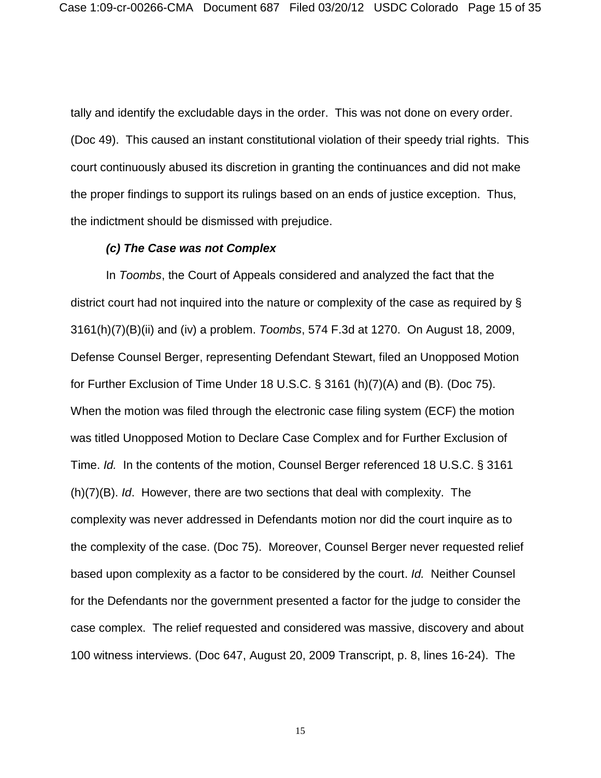tally and identify the excludable days in the order. This was not done on every order. (Doc 49). This caused an instant constitutional violation of their speedy trial rights. This court continuously abused its discretion in granting the continuances and did not make the proper findings to support its rulings based on an ends of justice exception. Thus, the indictment should be dismissed with prejudice.

### *(c) The Case was not Complex*

In *Toombs*, the Court of Appeals considered and analyzed the fact that the district court had not inquired into the nature or complexity of the case as required by § 3161(h)(7)(B)(ii) and (iv) a problem. *Toombs*, 574 F.3d at 1270. On August 18, 2009, Defense Counsel Berger, representing Defendant Stewart, filed an Unopposed Motion for Further Exclusion of Time Under 18 U.S.C. § 3161 (h)(7)(A) and (B). (Doc 75). When the motion was filed through the electronic case filing system (ECF) the motion was titled Unopposed Motion to Declare Case Complex and for Further Exclusion of Time. *Id.* In the contents of the motion, Counsel Berger referenced 18 U.S.C. § 3161 (h)(7)(B). *Id*. However, there are two sections that deal with complexity. The complexity was never addressed in Defendants motion nor did the court inquire as to the complexity of the case. (Doc 75). Moreover, Counsel Berger never requested relief based upon complexity as a factor to be considered by the court. *Id.* Neither Counsel for the Defendants nor the government presented a factor for the judge to consider the case complex. The relief requested and considered was massive, discovery and about 100 witness interviews. (Doc 647, August 20, 2009 Transcript, p. 8, lines 16-24). The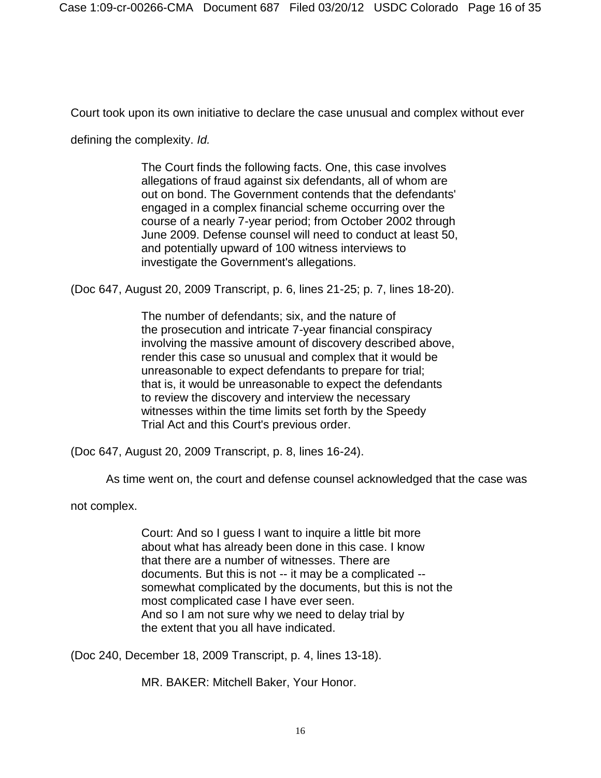Court took upon its own initiative to declare the case unusual and complex without ever

defining the complexity. *Id.*

The Court finds the following facts. One, this case involves allegations of fraud against six defendants, all of whom are out on bond. The Government contends that the defendants' engaged in a complex financial scheme occurring over the course of a nearly 7-year period; from October 2002 through June 2009. Defense counsel will need to conduct at least 50, and potentially upward of 100 witness interviews to investigate the Government's allegations.

(Doc 647, August 20, 2009 Transcript, p. 6, lines 21-25; p. 7, lines 18-20).

The number of defendants; six, and the nature of the prosecution and intricate 7-year financial conspiracy involving the massive amount of discovery described above, render this case so unusual and complex that it would be unreasonable to expect defendants to prepare for trial; that is, it would be unreasonable to expect the defendants to review the discovery and interview the necessary witnesses within the time limits set forth by the Speedy Trial Act and this Court's previous order.

(Doc 647, August 20, 2009 Transcript, p. 8, lines 16-24).

As time went on, the court and defense counsel acknowledged that the case was

not complex.

Court: And so I guess I want to inquire a little bit more about what has already been done in this case. I know that there are a number of witnesses. There are documents. But this is not -- it may be a complicated - somewhat complicated by the documents, but this is not the most complicated case I have ever seen. And so I am not sure why we need to delay trial by the extent that you all have indicated.

(Doc 240, December 18, 2009 Transcript, p. 4, lines 13-18).

MR. BAKER: Mitchell Baker, Your Honor.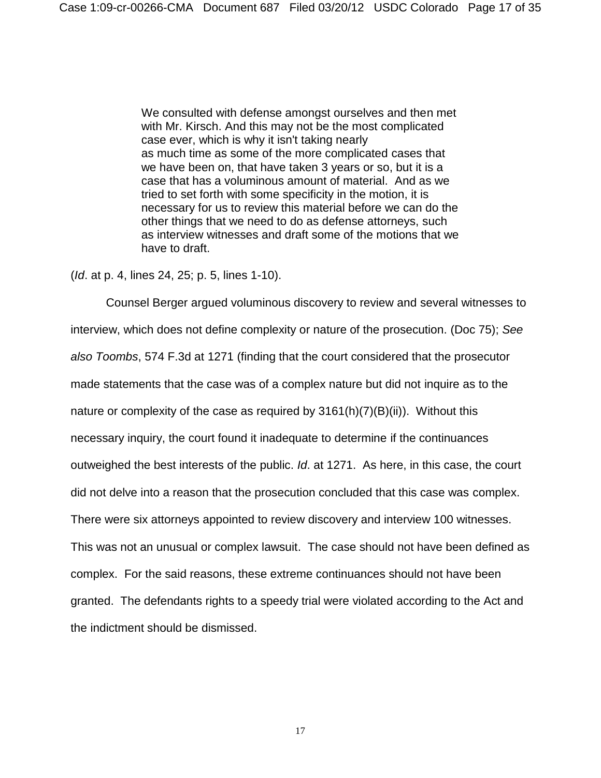We consulted with defense amongst ourselves and then met with Mr. Kirsch. And this may not be the most complicated case ever, which is why it isn't taking nearly as much time as some of the more complicated cases that we have been on, that have taken 3 years or so, but it is a case that has a voluminous amount of material. And as we tried to set forth with some specificity in the motion, it is necessary for us to review this material before we can do the other things that we need to do as defense attorneys, such as interview witnesses and draft some of the motions that we have to draft.

(*Id*. at p. 4, lines 24, 25; p. 5, lines 1-10).

Counsel Berger argued voluminous discovery to review and several witnesses to interview, which does not define complexity or nature of the prosecution. (Doc 75); *See also Toombs*, 574 F.3d at 1271 (finding that the court considered that the prosecutor made statements that the case was of a complex nature but did not inquire as to the nature or complexity of the case as required by  $3161(h)(7)(B(ii))$ . Without this necessary inquiry, the court found it inadequate to determine if the continuances outweighed the best interests of the public. *Id*. at 1271. As here, in this case, the court did not delve into a reason that the prosecution concluded that this case was complex. There were six attorneys appointed to review discovery and interview 100 witnesses. This was not an unusual or complex lawsuit. The case should not have been defined as complex. For the said reasons, these extreme continuances should not have been granted. The defendants rights to a speedy trial were violated according to the Act and the indictment should be dismissed.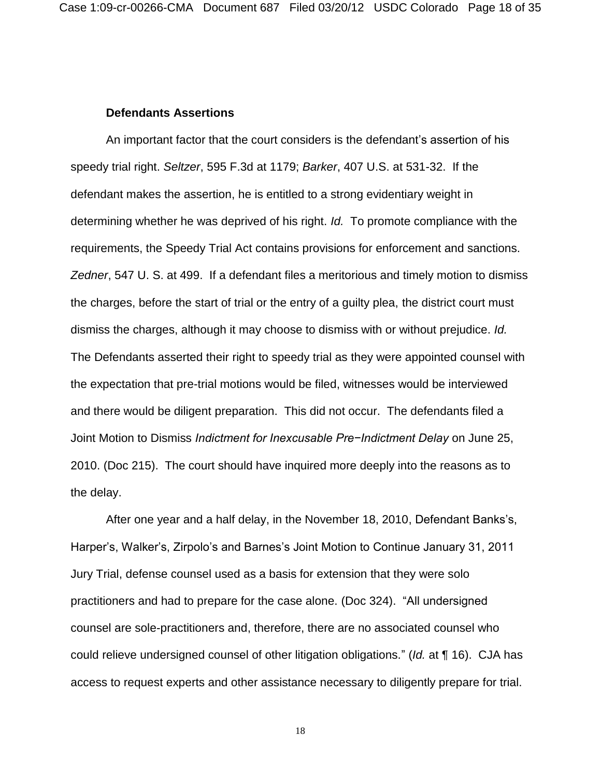### **Defendants Assertions**

An important factor that the court considers is the defendant's assertion of his speedy trial right. *Seltzer*, 595 F.3d at 1179; *Barker*, 407 U.S. at 531-32. If the defendant makes the assertion, he is entitled to a strong evidentiary weight in determining whether he was deprived of his right. *Id.* To promote compliance with the requirements, the Speedy Trial Act contains provisions for enforcement and sanctions. *Zedner*, 547 U. S. at 499. If a defendant files a meritorious and timely motion to dismiss the charges, before the start of trial or the entry of a guilty plea, the district court must dismiss the charges, although it may choose to dismiss with or without prejudice. *Id.*  The Defendants asserted their right to speedy trial as they were appointed counsel with the expectation that pre-trial motions would be filed, witnesses would be interviewed and there would be diligent preparation. This did not occur. The defendants filed a Joint Motion to Dismiss *Indictment for Inexcusable Pre−Indictment Delay* on June 25, 2010. (Doc 215). The court should have inquired more deeply into the reasons as to the delay.

After one year and a half delay, in the November 18, 2010, Defendant Banks's, Harper's, Walker's, Zirpolo's and Barnes's Joint Motion to Continue January 31, 2011 Jury Trial, defense counsel used as a basis for extension that they were solo practitioners and had to prepare for the case alone. (Doc 324). "All undersigned counsel are sole-practitioners and, therefore, there are no associated counsel who could relieve undersigned counsel of other litigation obligations." (*Id.* at ¶ 16). CJA has access to request experts and other assistance necessary to diligently prepare for trial.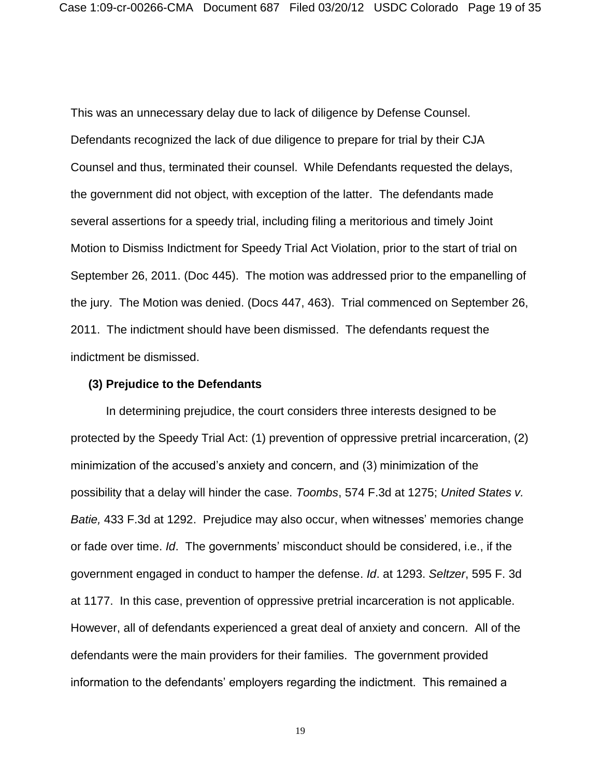This was an unnecessary delay due to lack of diligence by Defense Counsel. Defendants recognized the lack of due diligence to prepare for trial by their CJA Counsel and thus, terminated their counsel. While Defendants requested the delays, the government did not object, with exception of the latter. The defendants made several assertions for a speedy trial, including filing a meritorious and timely Joint Motion to Dismiss Indictment for Speedy Trial Act Violation, prior to the start of trial on September 26, 2011. (Doc 445). The motion was addressed prior to the empanelling of the jury. The Motion was denied. (Docs 447, 463). Trial commenced on September 26, 2011. The indictment should have been dismissed. The defendants request the indictment be dismissed.

#### **(3) Prejudice to the Defendants**

In determining prejudice, the court considers three interests designed to be protected by the Speedy Trial Act: (1) prevention of oppressive pretrial incarceration, (2) minimization of the accused's anxiety and concern, and (3) minimization of the possibility that a delay will hinder the case. *Toombs*, 574 F.3d at 1275; *United States v. Batie,* 433 F.3d at 1292. Prejudice may also occur, when witnesses' memories change or fade over time. *Id*. The governments' misconduct should be considered, i.e., if the government engaged in conduct to hamper the defense. *Id*. at 1293. *Seltzer*, 595 F. 3d at 1177. In this case, prevention of oppressive pretrial incarceration is not applicable. However, all of defendants experienced a great deal of anxiety and concern. All of the defendants were the main providers for their families. The government provided information to the defendants' employers regarding the indictment. This remained a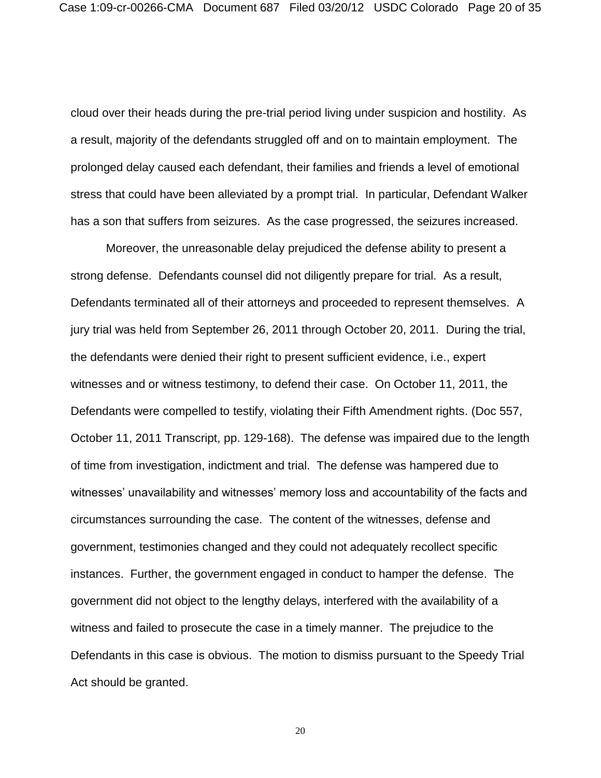cloud over their heads during the pre-trial period living under suspicion and hostility. As a result, majority of the defendants struggled off and on to maintain employment. The prolonged delay caused each defendant, their families and friends a level of emotional stress that could have been alleviated by a prompt trial. In particular, Defendant Walker has a son that suffers from seizures. As the case progressed, the seizures increased.

Moreover, the unreasonable delay prejudiced the defense ability to present a strong defense. Defendants counsel did not diligently prepare for trial. As a result, Defendants terminated all of their attorneys and proceeded to represent themselves. A jury trial was held from September 26, 2011 through October 20, 2011. During the trial, the defendants were denied their right to present sufficient evidence, i.e., expert witnesses and or witness testimony, to defend their case. On October 11, 2011, the Defendants were compelled to testify, violating their Fifth Amendment rights. (Doc 557, October 11, 2011 Transcript, pp. 129-168). The defense was impaired due to the length of time from investigation, indictment and trial. The defense was hampered due to witnesses' unavailability and witnesses' memory loss and accountability of the facts and circumstances surrounding the case. The content of the witnesses, defense and government, testimonies changed and they could not adequately recollect specific instances. Further, the government engaged in conduct to hamper the defense. The government did not object to the lengthy delays, interfered with the availability of a witness and failed to prosecute the case in a timely manner. The prejudice to the Defendants in this case is obvious. The motion to dismiss pursuant to the Speedy Trial Act should be granted.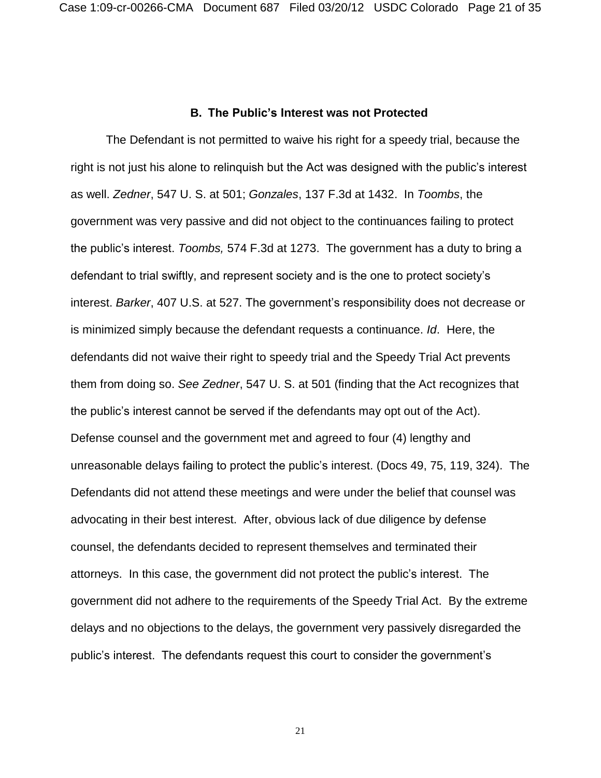### **B. The Public's Interest was not Protected**

The Defendant is not permitted to waive his right for a speedy trial, because the right is not just his alone to relinquish but the Act was designed with the public's interest as well. *Zedner*, 547 U. S. at 501; *Gonzales*, 137 F.3d at 1432. In *Toombs*, the government was very passive and did not object to the continuances failing to protect the public's interest. *Toombs,* 574 F.3d at 1273. The government has a duty to bring a defendant to trial swiftly, and represent society and is the one to protect society's interest. *Barker*, 407 U.S. at 527. The government's responsibility does not decrease or is minimized simply because the defendant requests a continuance. *Id*. Here, the defendants did not waive their right to speedy trial and the Speedy Trial Act prevents them from doing so. *See Zedner*, 547 U. S. at 501 (finding that the Act recognizes that the public's interest cannot be served if the defendants may opt out of the Act). Defense counsel and the government met and agreed to four (4) lengthy and unreasonable delays failing to protect the public's interest. (Docs 49, 75, 119, 324). The Defendants did not attend these meetings and were under the belief that counsel was advocating in their best interest. After, obvious lack of due diligence by defense counsel, the defendants decided to represent themselves and terminated their attorneys. In this case, the government did not protect the public's interest. The government did not adhere to the requirements of the Speedy Trial Act. By the extreme delays and no objections to the delays, the government very passively disregarded the public's interest. The defendants request this court to consider the government's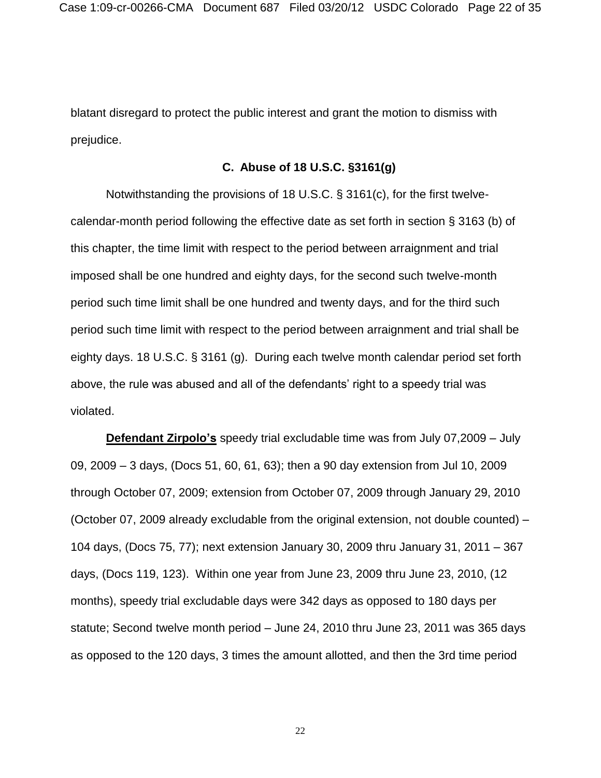blatant disregard to protect the public interest and grant the motion to dismiss with prejudice.

# **C. Abuse of 18 U.S.C. §3161(g)**

Notwithstanding the provisions of 18 U.S.C. § 3161(c), for the first twelvecalendar-month period following the effective date as set forth in section § 3163 (b) of this chapter, the time limit with respect to the period between arraignment and trial imposed shall be one hundred and eighty days, for the second such twelve-month period such time limit shall be one hundred and twenty days, and for the third such period such time limit with respect to the period between arraignment and trial shall be eighty days. 18 U.S.C. § 3161 (g). During each twelve month calendar period set forth above, the rule was abused and all of the defendants' right to a speedy trial was violated.

**Defendant Zirpolo's** speedy trial excludable time was from July 07,2009 – July 09, 2009 – 3 days, (Docs 51, 60, 61, 63); then a 90 day extension from Jul 10, 2009 through October 07, 2009; extension from October 07, 2009 through January 29, 2010 (October 07, 2009 already excludable from the original extension, not double counted) – 104 days, (Docs 75, 77); next extension January 30, 2009 thru January 31, 2011 – 367 days, (Docs 119, 123). Within one year from June 23, 2009 thru June 23, 2010, (12 months), speedy trial excludable days were 342 days as opposed to 180 days per statute; Second twelve month period – June 24, 2010 thru June 23, 2011 was 365 days as opposed to the 120 days, 3 times the amount allotted, and then the 3rd time period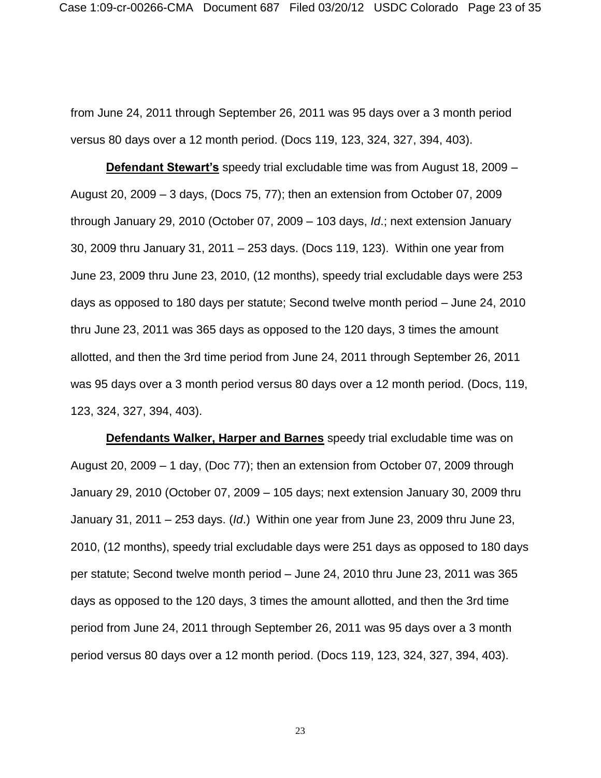from June 24, 2011 through September 26, 2011 was 95 days over a 3 month period versus 80 days over a 12 month period. (Docs 119, 123, 324, 327, 394, 403).

**Defendant Stewart's** speedy trial excludable time was from August 18, 2009 – August 20, 2009 – 3 days, (Docs 75, 77); then an extension from October 07, 2009 through January 29, 2010 (October 07, 2009 – 103 days, *Id*.; next extension January 30, 2009 thru January 31, 2011 – 253 days. (Docs 119, 123). Within one year from June 23, 2009 thru June 23, 2010, (12 months), speedy trial excludable days were 253 days as opposed to 180 days per statute; Second twelve month period – June 24, 2010 thru June 23, 2011 was 365 days as opposed to the 120 days, 3 times the amount allotted, and then the 3rd time period from June 24, 2011 through September 26, 2011 was 95 days over a 3 month period versus 80 days over a 12 month period. (Docs, 119, 123, 324, 327, 394, 403).

**Defendants Walker, Harper and Barnes** speedy trial excludable time was on August 20, 2009 – 1 day, (Doc 77); then an extension from October 07, 2009 through January 29, 2010 (October 07, 2009 – 105 days; next extension January 30, 2009 thru January 31, 2011 – 253 days. (*Id*.) Within one year from June 23, 2009 thru June 23, 2010, (12 months), speedy trial excludable days were 251 days as opposed to 180 days per statute; Second twelve month period – June 24, 2010 thru June 23, 2011 was 365 days as opposed to the 120 days, 3 times the amount allotted, and then the 3rd time period from June 24, 2011 through September 26, 2011 was 95 days over a 3 month period versus 80 days over a 12 month period. (Docs 119, 123, 324, 327, 394, 403).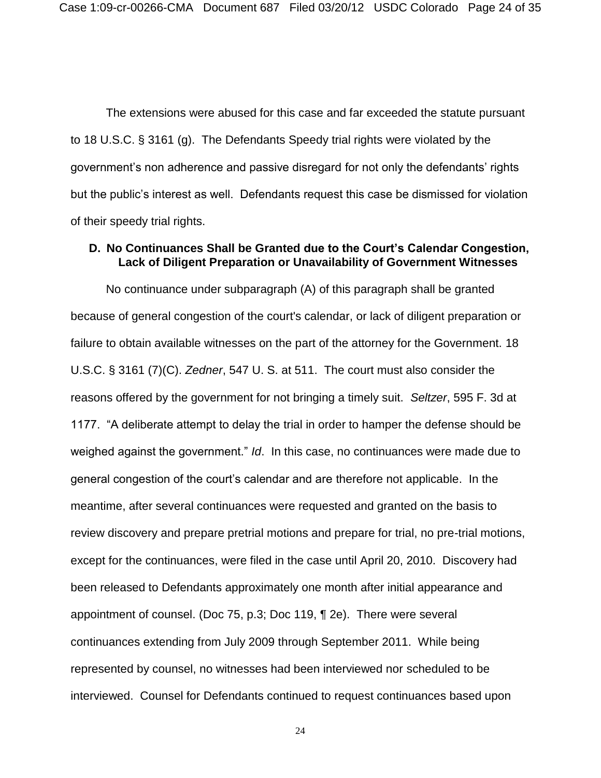The extensions were abused for this case and far exceeded the statute pursuant to 18 U.S.C. § 3161 (g). The Defendants Speedy trial rights were violated by the government's non adherence and passive disregard for not only the defendants' rights but the public's interest as well. Defendants request this case be dismissed for violation of their speedy trial rights.

# **D. No Continuances Shall be Granted due to the Court's Calendar Congestion, Lack of Diligent Preparation or Unavailability of Government Witnesses**

No continuance under subparagraph (A) of this paragraph shall be granted because of general congestion of the court's calendar, or lack of diligent preparation or failure to obtain available witnesses on the part of the attorney for the Government. 18 U.S.C. § 3161 (7)(C). *Zedner*, 547 U. S. at 511. The court must also consider the reasons offered by the government for not bringing a timely suit. *Seltzer*, 595 F. 3d at 1177. "A deliberate attempt to delay the trial in order to hamper the defense should be weighed against the government." *Id*. In this case, no continuances were made due to general congestion of the court's calendar and are therefore not applicable. In the meantime, after several continuances were requested and granted on the basis to review discovery and prepare pretrial motions and prepare for trial, no pre-trial motions, except for the continuances, were filed in the case until April 20, 2010. Discovery had been released to Defendants approximately one month after initial appearance and appointment of counsel. (Doc 75, p.3; Doc 119, ¶ 2e). There were several continuances extending from July 2009 through September 2011. While being represented by counsel, no witnesses had been interviewed nor scheduled to be interviewed. Counsel for Defendants continued to request continuances based upon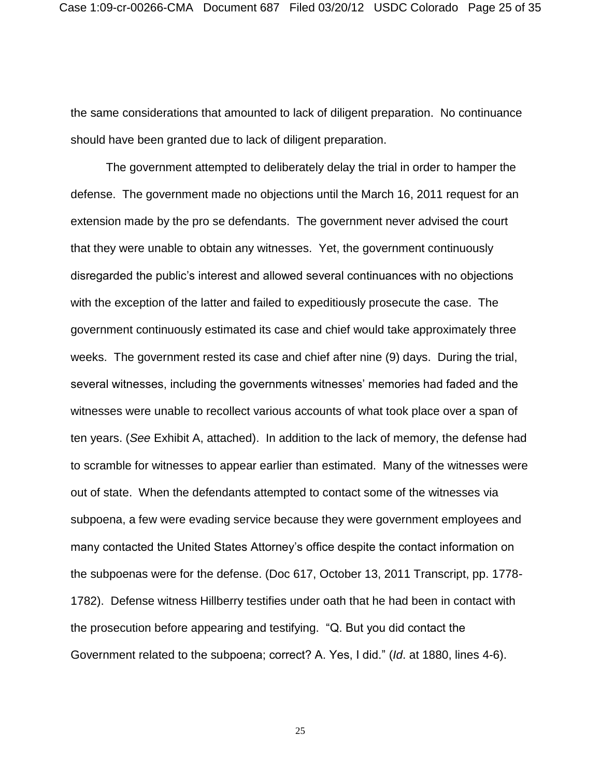the same considerations that amounted to lack of diligent preparation. No continuance should have been granted due to lack of diligent preparation.

The government attempted to deliberately delay the trial in order to hamper the defense. The government made no objections until the March 16, 2011 request for an extension made by the pro se defendants. The government never advised the court that they were unable to obtain any witnesses. Yet, the government continuously disregarded the public's interest and allowed several continuances with no objections with the exception of the latter and failed to expeditiously prosecute the case. The government continuously estimated its case and chief would take approximately three weeks. The government rested its case and chief after nine (9) days. During the trial, several witnesses, including the governments witnesses' memories had faded and the witnesses were unable to recollect various accounts of what took place over a span of ten years. (*See* Exhibit A, attached). In addition to the lack of memory, the defense had to scramble for witnesses to appear earlier than estimated. Many of the witnesses were out of state. When the defendants attempted to contact some of the witnesses via subpoena, a few were evading service because they were government employees and many contacted the United States Attorney's office despite the contact information on the subpoenas were for the defense. (Doc 617, October 13, 2011 Transcript, pp. 1778- 1782). Defense witness Hillberry testifies under oath that he had been in contact with the prosecution before appearing and testifying. "Q. But you did contact the Government related to the subpoena; correct? A. Yes, I did." (*Id*. at 1880, lines 4-6).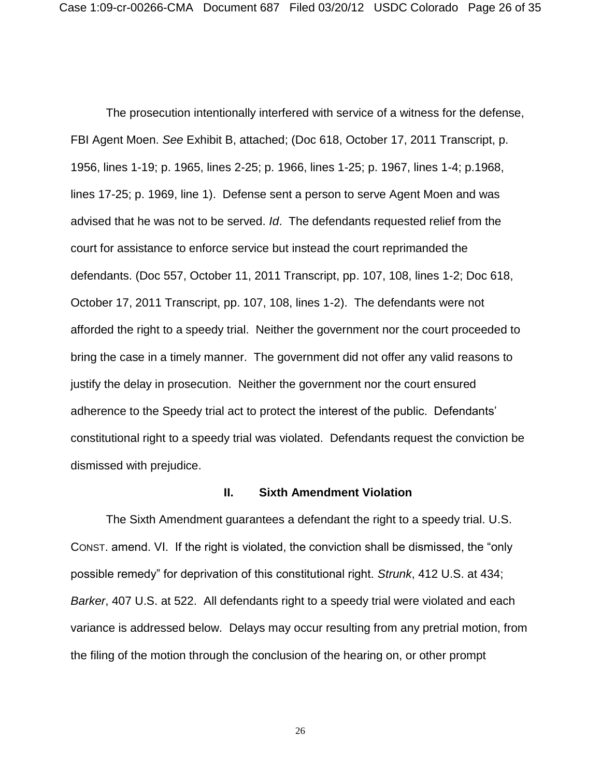The prosecution intentionally interfered with service of a witness for the defense, FBI Agent Moen. *See* Exhibit B, attached; (Doc 618, October 17, 2011 Transcript, p. 1956, lines 1-19; p. 1965, lines 2-25; p. 1966, lines 1-25; p. 1967, lines 1-4; p.1968, lines 17-25; p. 1969, line 1). Defense sent a person to serve Agent Moen and was advised that he was not to be served. *Id*. The defendants requested relief from the court for assistance to enforce service but instead the court reprimanded the defendants. (Doc 557, October 11, 2011 Transcript, pp. 107, 108, lines 1-2; Doc 618, October 17, 2011 Transcript, pp. 107, 108, lines 1-2). The defendants were not afforded the right to a speedy trial. Neither the government nor the court proceeded to bring the case in a timely manner. The government did not offer any valid reasons to justify the delay in prosecution. Neither the government nor the court ensured adherence to the Speedy trial act to protect the interest of the public. Defendants' constitutional right to a speedy trial was violated. Defendants request the conviction be dismissed with prejudice.

#### **II. Sixth Amendment Violation**

The Sixth Amendment guarantees a defendant the right to a speedy trial. U.S. CONST. amend. VI. If the right is violated, the conviction shall be dismissed, the "only possible remedy" for deprivation of this constitutional right. *Strunk*, 412 U.S. at 434; *Barker*, 407 U.S. at 522. All defendants right to a speedy trial were violated and each variance is addressed below. Delays may occur resulting from any pretrial motion, from the filing of the motion through the conclusion of the hearing on, or other prompt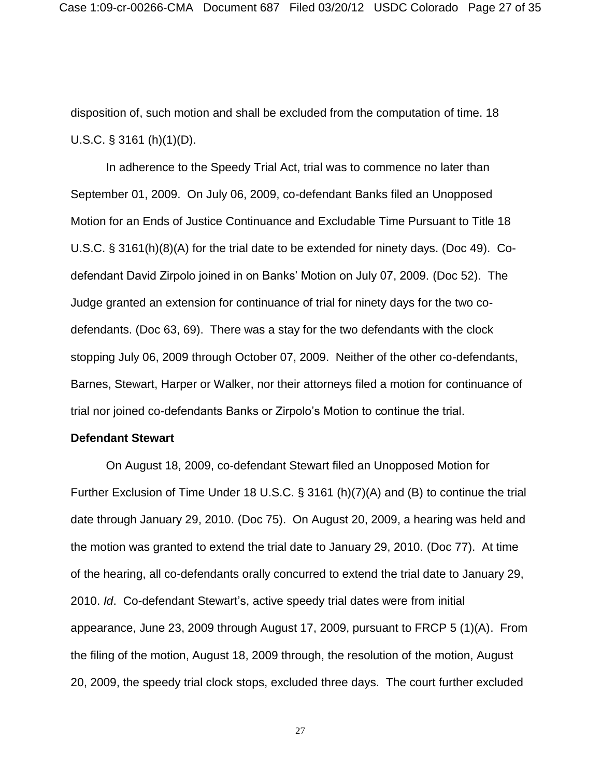disposition of, such motion and shall be excluded from the computation of time. 18 U.S.C. § 3161 (h)(1)(D).

In adherence to the Speedy Trial Act, trial was to commence no later than September 01, 2009. On July 06, 2009, co-defendant Banks filed an Unopposed Motion for an Ends of Justice Continuance and Excludable Time Pursuant to Title 18 U.S.C. § 3161(h)(8)(A) for the trial date to be extended for ninety days. (Doc 49). Codefendant David Zirpolo joined in on Banks' Motion on July 07, 2009. (Doc 52). The Judge granted an extension for continuance of trial for ninety days for the two codefendants. (Doc 63, 69). There was a stay for the two defendants with the clock stopping July 06, 2009 through October 07, 2009. Neither of the other co-defendants, Barnes, Stewart, Harper or Walker, nor their attorneys filed a motion for continuance of trial nor joined co-defendants Banks or Zirpolo's Motion to continue the trial.

### **Defendant Stewart**

On August 18, 2009, co-defendant Stewart filed an Unopposed Motion for Further Exclusion of Time Under 18 U.S.C. § 3161 (h)(7)(A) and (B) to continue the trial date through January 29, 2010. (Doc 75). On August 20, 2009, a hearing was held and the motion was granted to extend the trial date to January 29, 2010. (Doc 77). At time of the hearing, all co-defendants orally concurred to extend the trial date to January 29, 2010. *Id*. Co-defendant Stewart's, active speedy trial dates were from initial appearance, June 23, 2009 through August 17, 2009, pursuant to FRCP 5 (1)(A). From the filing of the motion, August 18, 2009 through, the resolution of the motion, August 20, 2009, the speedy trial clock stops, excluded three days. The court further excluded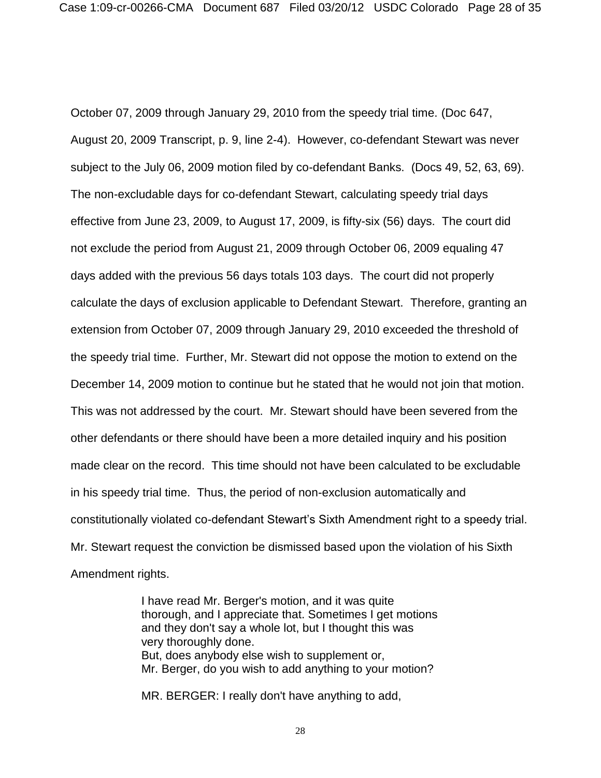October 07, 2009 through January 29, 2010 from the speedy trial time. (Doc 647, August 20, 2009 Transcript, p. 9, line 2-4). However, co-defendant Stewart was never subject to the July 06, 2009 motion filed by co-defendant Banks. (Docs 49, 52, 63, 69). The non-excludable days for co-defendant Stewart, calculating speedy trial days effective from June 23, 2009, to August 17, 2009, is fifty-six (56) days. The court did not exclude the period from August 21, 2009 through October 06, 2009 equaling 47 days added with the previous 56 days totals 103 days. The court did not properly calculate the days of exclusion applicable to Defendant Stewart. Therefore, granting an extension from October 07, 2009 through January 29, 2010 exceeded the threshold of the speedy trial time. Further, Mr. Stewart did not oppose the motion to extend on the December 14, 2009 motion to continue but he stated that he would not join that motion. This was not addressed by the court. Mr. Stewart should have been severed from the other defendants or there should have been a more detailed inquiry and his position made clear on the record. This time should not have been calculated to be excludable in his speedy trial time. Thus, the period of non-exclusion automatically and constitutionally violated co-defendant Stewart's Sixth Amendment right to a speedy trial. Mr. Stewart request the conviction be dismissed based upon the violation of his Sixth Amendment rights.

> I have read Mr. Berger's motion, and it was quite thorough, and I appreciate that. Sometimes I get motions and they don't say a whole lot, but I thought this was very thoroughly done. But, does anybody else wish to supplement or, Mr. Berger, do you wish to add anything to your motion?

MR. BERGER: I really don't have anything to add,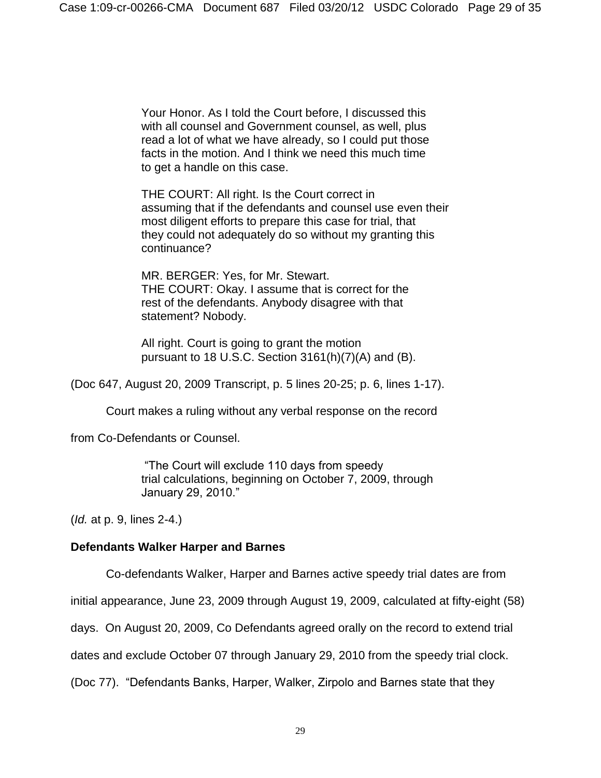Your Honor. As I told the Court before, I discussed this with all counsel and Government counsel, as well, plus read a lot of what we have already, so I could put those facts in the motion. And I think we need this much time to get a handle on this case.

THE COURT: All right. Is the Court correct in assuming that if the defendants and counsel use even their most diligent efforts to prepare this case for trial, that they could not adequately do so without my granting this continuance?

MR. BERGER: Yes, for Mr. Stewart. THE COURT: Okay. I assume that is correct for the rest of the defendants. Anybody disagree with that statement? Nobody.

All right. Court is going to grant the motion pursuant to 18 U.S.C. Section 3161(h)(7)(A) and (B).

(Doc 647, August 20, 2009 Transcript, p. 5 lines 20-25; p. 6, lines 1-17).

Court makes a ruling without any verbal response on the record

from Co-Defendants or Counsel.

"The Court will exclude 110 days from speedy trial calculations, beginning on October 7, 2009, through January 29, 2010."

(*Id.* at p. 9, lines 2-4.)

# **Defendants Walker Harper and Barnes**

Co-defendants Walker, Harper and Barnes active speedy trial dates are from

initial appearance, June 23, 2009 through August 19, 2009, calculated at fifty-eight (58)

days. On August 20, 2009, Co Defendants agreed orally on the record to extend trial

dates and exclude October 07 through January 29, 2010 from the speedy trial clock.

(Doc 77). "Defendants Banks, Harper, Walker, Zirpolo and Barnes state that they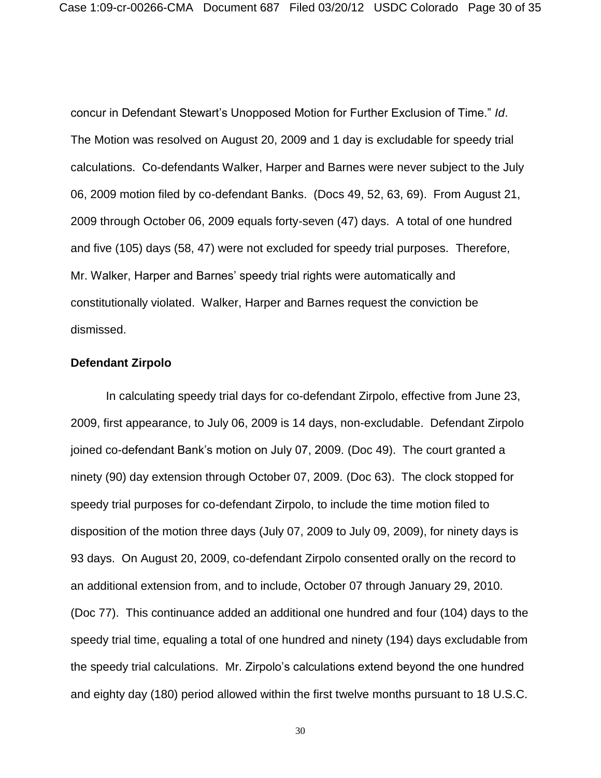concur in Defendant Stewart's Unopposed Motion for Further Exclusion of Time." *Id*. The Motion was resolved on August 20, 2009 and 1 day is excludable for speedy trial calculations. Co-defendants Walker, Harper and Barnes were never subject to the July 06, 2009 motion filed by co-defendant Banks. (Docs 49, 52, 63, 69). From August 21, 2009 through October 06, 2009 equals forty-seven (47) days. A total of one hundred and five (105) days (58, 47) were not excluded for speedy trial purposes. Therefore, Mr. Walker, Harper and Barnes' speedy trial rights were automatically and constitutionally violated. Walker, Harper and Barnes request the conviction be dismissed.

# **Defendant Zirpolo**

In calculating speedy trial days for co-defendant Zirpolo, effective from June 23, 2009, first appearance, to July 06, 2009 is 14 days, non-excludable. Defendant Zirpolo joined co-defendant Bank's motion on July 07, 2009. (Doc 49). The court granted a ninety (90) day extension through October 07, 2009. (Doc 63). The clock stopped for speedy trial purposes for co-defendant Zirpolo, to include the time motion filed to disposition of the motion three days (July 07, 2009 to July 09, 2009), for ninety days is 93 days. On August 20, 2009, co-defendant Zirpolo consented orally on the record to an additional extension from, and to include, October 07 through January 29, 2010. (Doc 77). This continuance added an additional one hundred and four (104) days to the speedy trial time, equaling a total of one hundred and ninety (194) days excludable from the speedy trial calculations. Mr. Zirpolo's calculations extend beyond the one hundred and eighty day (180) period allowed within the first twelve months pursuant to 18 U.S.C.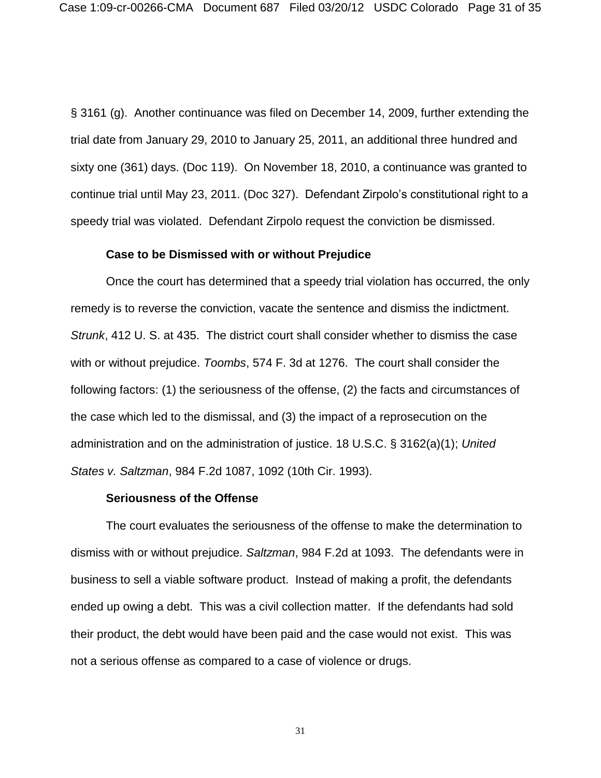§ 3161 (g). Another continuance was filed on December 14, 2009, further extending the trial date from January 29, 2010 to January 25, 2011, an additional three hundred and sixty one (361) days. (Doc 119). On November 18, 2010, a continuance was granted to continue trial until May 23, 2011. (Doc 327). Defendant Zirpolo's constitutional right to a speedy trial was violated. Defendant Zirpolo request the conviction be dismissed.

# **Case to be Dismissed with or without Prejudice**

Once the court has determined that a speedy trial violation has occurred, the only remedy is to reverse the conviction, vacate the sentence and dismiss the indictment. *Strunk*, 412 U. S. at 435. The district court shall consider whether to dismiss the case with or without prejudice. *Toombs*, 574 F. 3d at 1276. The court shall consider the following factors: (1) the seriousness of the offense, (2) the facts and circumstances of the case which led to the dismissal, and (3) the impact of a reprosecution on the administration and on the administration of justice. 18 U.S.C. § 3162(a)(1); *United States v. Saltzman*, 984 F.2d 1087, 1092 (10th Cir. 1993).

### **Seriousness of the Offense**

The court evaluates the seriousness of the offense to make the determination to dismiss with or without prejudice. *Saltzman*, 984 F.2d at 1093. The defendants were in business to sell a viable software product. Instead of making a profit, the defendants ended up owing a debt. This was a civil collection matter. If the defendants had sold their product, the debt would have been paid and the case would not exist. This was not a serious offense as compared to a case of violence or drugs.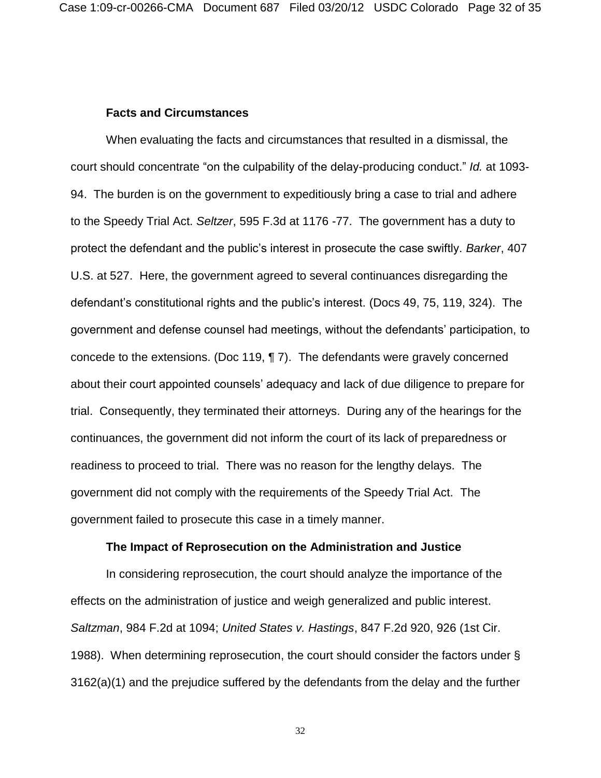# **Facts and Circumstances**

When evaluating the facts and circumstances that resulted in a dismissal, the court should concentrate "on the culpability of the delay-producing conduct." *Id.* at 1093- 94. The burden is on the government to expeditiously bring a case to trial and adhere to the Speedy Trial Act. *Seltzer*, 595 F.3d at 1176 -77. The government has a duty to protect the defendant and the public's interest in prosecute the case swiftly. *Barker*, 407 U.S. at 527. Here, the government agreed to several continuances disregarding the defendant's constitutional rights and the public's interest. (Docs 49, 75, 119, 324). The government and defense counsel had meetings, without the defendants' participation, to concede to the extensions. (Doc 119, ¶ 7). The defendants were gravely concerned about their court appointed counsels' adequacy and lack of due diligence to prepare for trial. Consequently, they terminated their attorneys. During any of the hearings for the continuances, the government did not inform the court of its lack of preparedness or readiness to proceed to trial. There was no reason for the lengthy delays. The government did not comply with the requirements of the Speedy Trial Act. The government failed to prosecute this case in a timely manner.

# **The Impact of Reprosecution on the Administration and Justice**

In considering reprosecution, the court should analyze the importance of the effects on the administration of justice and weigh generalized and public interest. *Saltzman*, 984 F.2d at 1094; *United States v. Hastings*, 847 F.2d 920, 926 (1st Cir. 1988). When determining reprosecution, the court should consider the factors under § 3162(a)(1) and the prejudice suffered by the defendants from the delay and the further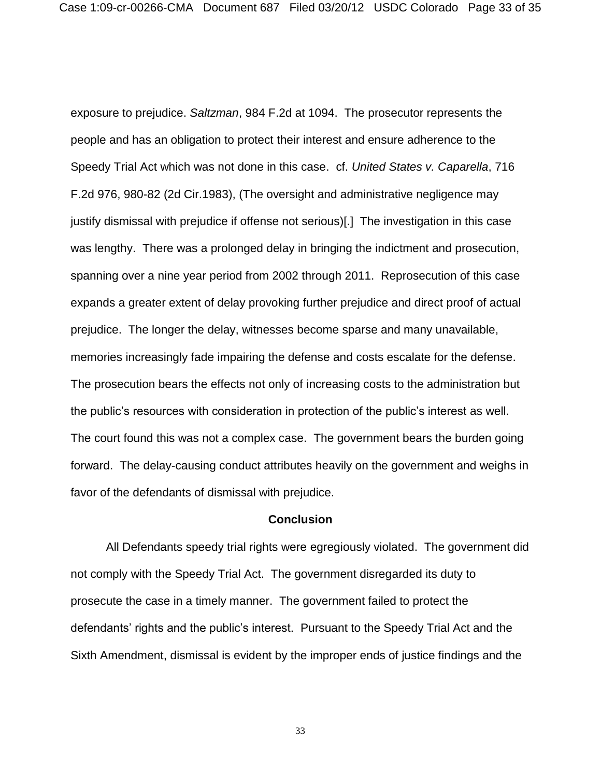exposure to prejudice. *Saltzman*, 984 F.2d at 1094. The prosecutor represents the people and has an obligation to protect their interest and ensure adherence to the Speedy Trial Act which was not done in this case. cf. *United States v. Caparella*, 716 F.2d 976, 980-82 (2d Cir.1983), (The oversight and administrative negligence may justify dismissal with prejudice if offense not serious)[.] The investigation in this case was lengthy. There was a prolonged delay in bringing the indictment and prosecution, spanning over a nine year period from 2002 through 2011. Reprosecution of this case expands a greater extent of delay provoking further prejudice and direct proof of actual prejudice. The longer the delay, witnesses become sparse and many unavailable, memories increasingly fade impairing the defense and costs escalate for the defense. The prosecution bears the effects not only of increasing costs to the administration but the public's resources with consideration in protection of the public's interest as well. The court found this was not a complex case. The government bears the burden going forward. The delay-causing conduct attributes heavily on the government and weighs in favor of the defendants of dismissal with prejudice.

# **Conclusion**

All Defendants speedy trial rights were egregiously violated. The government did not comply with the Speedy Trial Act. The government disregarded its duty to prosecute the case in a timely manner. The government failed to protect the defendants' rights and the public's interest. Pursuant to the Speedy Trial Act and the Sixth Amendment, dismissal is evident by the improper ends of justice findings and the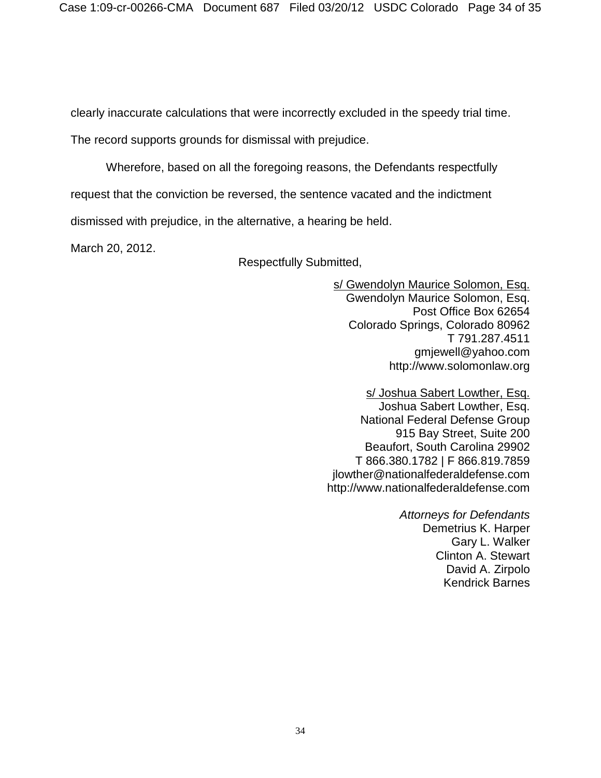clearly inaccurate calculations that were incorrectly excluded in the speedy trial time.

The record supports grounds for dismissal with prejudice.

Wherefore, based on all the foregoing reasons, the Defendants respectfully

request that the conviction be reversed, the sentence vacated and the indictment

dismissed with prejudice, in the alternative, a hearing be held.

March 20, 2012.

Respectfully Submitted,

s/ Gwendolyn Maurice Solomon, Esq. Gwendolyn Maurice Solomon, Esq. Post Office Box 62654 Colorado Springs, Colorado 80962 T 791.287.4511 gmjewell@yahoo.com http://www.solomonlaw.org

s/ Joshua Sabert Lowther, Esq. Joshua Sabert Lowther, Esq. National Federal Defense Group 915 Bay Street, Suite 200 Beaufort, South Carolina 29902 T 866.380.1782 | F 866.819.7859 jlowther@nationalfederaldefense.com http://www.nationalfederaldefense.com

> *Attorneys for Defendants* Demetrius K. Harper Gary L. Walker Clinton A. Stewart David A. Zirpolo Kendrick Barnes